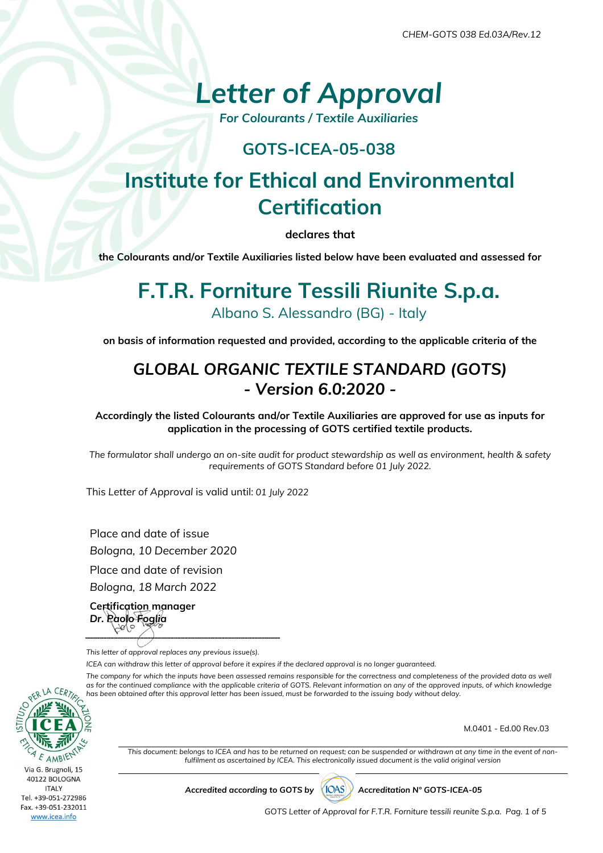# *Letter of Approval*

*For Colourants / Textile Auxiliaries* 

#### **GOTS-ICEA-05-038**

## **Institute for Ethical and Environmental Certification**

**declares that** 

**the Colourants and/or Textile Auxiliaries listed below have been evaluated and assessed for** 

### **F.T.R. Forniture Tessili Riunite S.p.a.**  Albano S. Alessandro (BG) - Italy

**on basis of information requested and provided, according to the applicable criteria of the** 

#### *GLOBAL ORGANIC TEXTILE STANDARD (GOTS) - Version 6.0:2020 -*

**Accordingly the listed Colourants and/or Textile Auxiliaries are approved for use as inputs for application in the processing of GOTS certified textile products.** 

*The formulator shall undergo an on-site audit for product stewardship as well as environment, health & safety requirements of GOTS Standard before 01 July 2022.* 

This *Letter of Approval* is valid until: *01 July 2022*

Place and date of issue *Bologna, 10 December 2020*  Place and date of revision

*Bologna, 18 March 2022* 

**Certification manager**  *Dr. Paolo Foglia*

*This letter of approval replaces any previous issue(s).* 

*ICEA can withdraw this letter of approval before it expires if the declared approval is no longer guaranteed.* 

The company for which the inputs have been assessed remains responsible for the correctness and completeness of the provided data as well as for the continued compliance with the applicable criteria of GOTS. Relevant information on any of the approved inputs, of which knowledge *has been obtained after this approval letter has been issued, must be forwarded to the issuing body without delay.* 



M.0401 - Ed.00 Rev.03

*This document: belongs to ICEA and has to be returned on request; can be suspended or withdrawn at any time in the event of nonfulfilment as ascertained by ICEA. This electronically issued document is the valid original version* 

Accredited according to GOTS by (IOAS)) Accreditation N° GOTS-ICEA-05

*GOTS Letter of Approval for F.T.R. Forniture tessili reunite S.p.a. Pag. 1 of 5*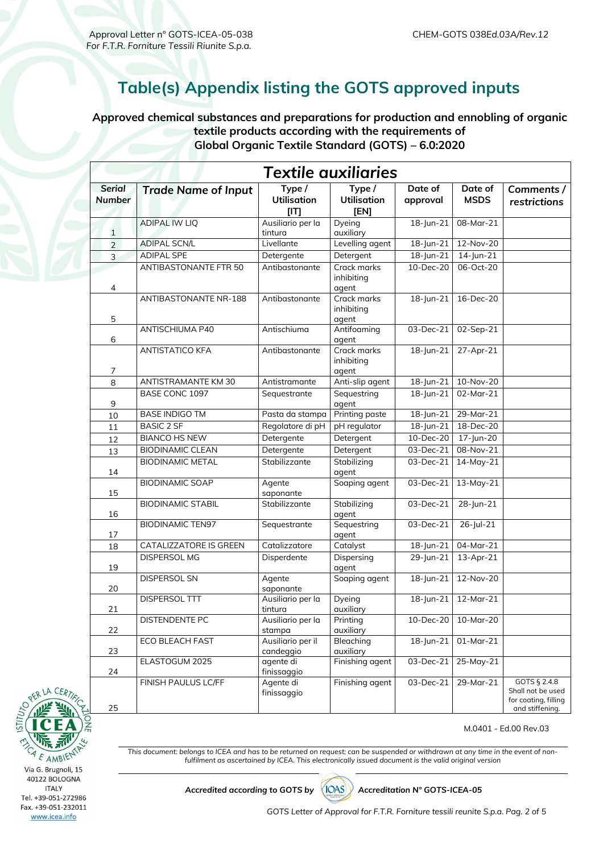#### **Table(s) Appendix listing the GOTS approved inputs**

**Approved chemical substances and preparations for production and ennobling of organic textile products according with the requirements of Global Organic Textile Standard (GOTS) – 6.0:2020** 

| <b>Textile quxiliaries</b>     |                               |                                      |                                      |                         |                        |                                                                              |
|--------------------------------|-------------------------------|--------------------------------------|--------------------------------------|-------------------------|------------------------|------------------------------------------------------------------------------|
| <b>Serial</b><br><b>Number</b> | <b>Trade Name of Input</b>    | Type /<br><b>Utilisation</b><br>[IT] | Type /<br><b>Utilisation</b><br>[EN] | Date of<br>approval     | Date of<br><b>MSDS</b> | Comments /<br>restrictions                                                   |
| 1                              | <b>ADIPAL IW LIQ</b>          | Ausiliario per la<br>tintura         | Dyeing<br>auxiliary                  | 18-Jun-21               | 08-Mar-21              |                                                                              |
| $\overline{2}$                 | <b>ADIPAL SCN/L</b>           | Livellante                           | Levelling agent                      | $18$ -Jun-21            | 12-Nov-20              |                                                                              |
| 3                              | <b>ADIPAL SPE</b>             | Detergente                           | Detergent                            | 18-Jun-21               | $14$ -Jun-21           |                                                                              |
| $\overline{\mathcal{A}}$       | <b>ANTIBASTONANTE FTR 50</b>  | Antibastonante                       | Crack marks<br>inhibiting<br>agent   | 10-Dec-20               | 06-Oct-20              |                                                                              |
| 5                              | ANTIBASTONANTE NR-188         | Antibastonante                       | Crack marks<br>inhibiting<br>agent   | $18$ - Jun-21           | 16-Dec-20              |                                                                              |
| 6                              | <b>ANTISCHIUMA P40</b>        | Antischiuma                          | Antifoaming<br>agent                 | 03-Dec-21               | 02-Sep-21              |                                                                              |
| $\overline{7}$                 | ANTISTATICO KFA               | Antibastonante                       | Crack marks<br>inhibiting<br>agent   | 18-Jun-21               | 27-Apr-21              |                                                                              |
| 8                              | ANTISTRAMANTE KM 30           | Antistramante                        | Anti-slip agent                      | $18$ -Jun-21            | 10-Nov-20              |                                                                              |
| 9                              | <b>BASE CONC 1097</b>         | Sequestrante                         | Sequestring<br>agent                 | $\overline{18}$ -Jun-21 | 02-Mar-21              |                                                                              |
| 10                             | <b>BASE INDIGO TM</b>         | Pasta da stampa                      | Printing paste                       | 18-Jun-21               | 29-Mar-21              |                                                                              |
| 11                             | <b>BASIC 2 SF</b>             | Regolatore di pH                     | pH regulator                         | 18-Jun-21               | 18-Dec-20              |                                                                              |
| 12                             | <b>BIANCO HS NEW</b>          | Detergente                           | Detergent                            | 10-Dec-20               | 17-Jun-20              |                                                                              |
| 13                             | <b>BIODINAMIC CLEAN</b>       | Detergente                           | Detergent                            | 03-Dec-21               | 08-Nov-21              |                                                                              |
| 14                             | <b>BIODINAMIC METAL</b>       | Stabilizzante                        | Stabilizing<br>agent                 | 03-Dec-21               | 14-May-21              |                                                                              |
| 15                             | <b>BIODINAMIC SOAP</b>        | Agente<br>saponante                  | Soaping agent                        | 03-Dec-21               | 13-May-21              |                                                                              |
| 16                             | <b>BIODINAMIC STABIL</b>      | Stabilizzante                        | Stabilizing<br>agent                 | 03-Dec-21               | 28-Jun-21              |                                                                              |
| 17                             | <b>BIODINAMIC TEN97</b>       | Sequestrante                         | Sequestring<br>agent                 | 03-Dec-21               | 26-Jul-21              |                                                                              |
| 18                             | <b>CATALIZZATORE IS GREEN</b> | Catalizzatore                        | Catalyst                             | $18$ -Jun-21            | 04-Mar-21              |                                                                              |
| 19                             | <b>DISPERSOL MG</b>           | Disperdente                          | Dispersing<br>agent                  | 29-Jun-21               | $13$ -Apr-21           |                                                                              |
| 20                             | DISPERSOL SN                  | Agente<br>saponante                  | Soaping agent                        | $18$ -Jun-21            | 12-Nov-20              |                                                                              |
| 21                             | DISPERSOL TTT                 | Ausiliario per la<br>tintura         | Dyeing<br>auxiliary                  | 18-Jun-21               | $12-Mar-21$            |                                                                              |
| 22                             | DISTENDENTE PC                | Ausiliario per la<br>stampa          | Printing<br>auxiliary                | 10-Dec-20               | 10-Mar-20              |                                                                              |
| 23                             | ECO BLEACH FAST               | Ausiliario per il<br>candeggio       | Bleaching<br>auxiliary               | $18$ -Jun-21            | $01-Mar-21$            |                                                                              |
| 24                             | ELASTOGUM 2025                | agente di<br>finissaggio             | Finishing agent                      | 03-Dec-21               | 25-May-21              |                                                                              |
| 25                             | FINISH PAULUS LC/FF           | Agente di<br>finissaggio             | Finishing agent                      | 03-Dec-21               | 29-Mar-21              | GOTS § 2.4.8<br>Shall not be used<br>for coating, filling<br>and stiffening. |



M.0401 - Ed.00 Rev.03

*This document: belongs to ICEA and has to be returned on request; can be suspended or withdrawn at any time in the event of nonfulfilment as ascertained by ICEA. This electronically issued document is the valid original version* 

Accredited according to GOTS by (IOAS)) Accreditation N° GOTS-ICEA-05

*GOTS Letter of Approval for F.T.R. Forniture tessili reunite S.p.a. Pag. 2 of 5*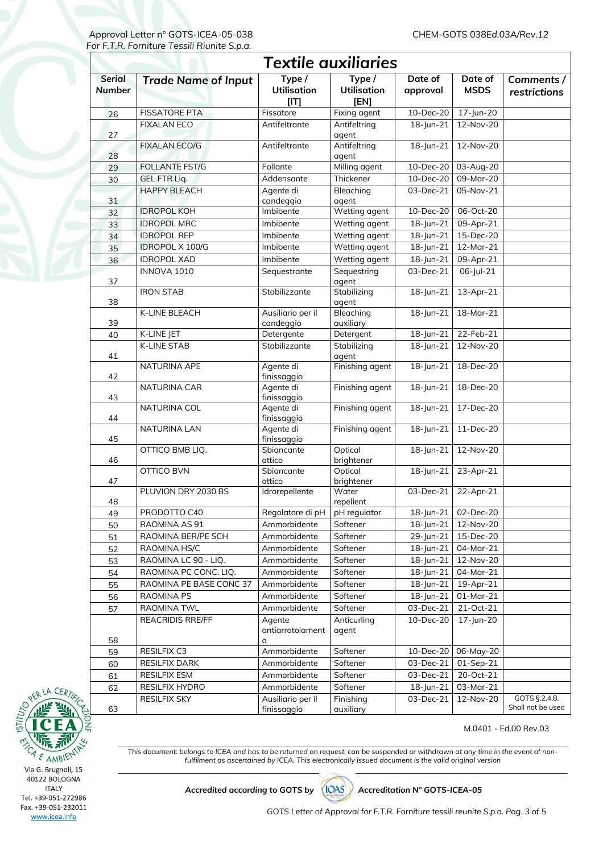| Textile auxiliaries            |                            |                                      |                                             |                         |                         |                                    |  |  |
|--------------------------------|----------------------------|--------------------------------------|---------------------------------------------|-------------------------|-------------------------|------------------------------------|--|--|
| <b>Serial</b><br><b>Number</b> | <b>Trade Name of Input</b> | Type /<br><b>Utilisation</b><br>[IT] | Type /<br><b>Utilisation</b><br><b>[EN]</b> | Date of<br>approval     | Date of<br><b>MSDS</b>  | Comments /<br>restrictions         |  |  |
| 26                             | <b>FISSATORE PTA</b>       | Fissatore                            | Fixing agent                                | 10-Dec-20               | 17-Jun-20               |                                    |  |  |
| 27                             | <b>FIXALAN ECO</b>         | Antifeltrante                        | Antifeltring<br>agent                       | 18-Jun-21               | 12-Nov-20               |                                    |  |  |
| 28                             | <b>FIXALAN ECO/G</b>       | Antifeltrante                        | Antifeltring<br>agent                       | 18-Jun-21               | 12-Nov-20               |                                    |  |  |
| 29                             | <b>FOLLANTE FST/G</b>      | Follante                             | Milling agent                               | 10-Dec-20               | 03-Aug-20               |                                    |  |  |
| 30                             | <b>GEL FTR Liq.</b>        | Addensante                           | Thickener                                   | 10-Dec-20               | $09$ -Mar-20            |                                    |  |  |
| 31                             | <b>HAPPY BLEACH</b>        | Agente di<br>candeggio               | Bleaching<br>agent                          | 03-Dec-21               | 05-Nov-21               |                                    |  |  |
| 32                             | <b>IDROPOL KOH</b>         | Imbibente                            | Wetting agent                               | $10 - Dec-20$           | 06-Oct-20               |                                    |  |  |
| 33                             | <b>IDROPOL MRC</b>         | Imbibente                            | Wetting agent                               | $18$ -Jun-21            | 09-Apr-21               |                                    |  |  |
| 34                             | <b>IDROPOL REP</b>         | Imbibente                            | Wetting agent                               | 18-Jun-21               | 15-Dec-20               |                                    |  |  |
| 35                             | <b>IDROPOL X 100/G</b>     | Imbibente                            | Wetting agent                               | $18$ -Jun-21            | $12-Mar-21$             |                                    |  |  |
| 36                             | <b>IDROPOL XAD</b>         | Imbibente                            | Wetting agent                               | 18-Jun-21               | 09-Apr-21               |                                    |  |  |
| 37                             | INNOVA 1010                | Sequestrante                         | Sequestring<br>agent                        | 03-Dec-21               | 06-Jul-21               |                                    |  |  |
| 38                             | <b>IRON STAB</b>           | Stabilizzante                        | Stabilizing<br>agent                        | 18-Jun-21               | 13-Apr-21               |                                    |  |  |
| 39                             | K-LINE BLEACH              | Ausiliario per il<br>candeggio       | Bleaching<br>auxiliary                      | 18-Jun-21               | 18-Mar-21               |                                    |  |  |
| 40                             | K-LINE JET                 | Detergente                           | Detergent                                   | $18$ -Jun-21            | 22-Feb-21               |                                    |  |  |
| 41                             | <b>K-LINE STAB</b>         | Stabilizzante                        | Stabilizing<br>agent                        | 18-Jun-21               | 12-Nov-20               |                                    |  |  |
| 42                             | NATURINA APE               | Agente di<br>finissaggio             | Finishing agent                             | 18-Jun-21               | 18-Dec-20               |                                    |  |  |
| 43                             | NATURINA CAR               | Agente di<br>finissaggio             | Finishing agent                             | $\overline{18}$ -Jun-21 | 18-Dec-20               |                                    |  |  |
| 44                             | NATURINA COL               | Agente di<br>finissaggio             | Finishing agent                             | 18-Jun-21               | $17 - Dec-20$           |                                    |  |  |
| 45                             | <b>NATURINA LAN</b>        | Agente di<br>finissaggio             | Finishing agent                             | 18-Jun-21               | 11-Dec-20               |                                    |  |  |
| 46                             | OTTICO BMB LIQ.            | Sbiancante<br>ottico                 | Optical<br>brightener                       | $18$ -Jun-21            | 12-Nov-20               |                                    |  |  |
| 47                             | OTTICO BVN                 | Sbiancante<br>ottico                 | Optical<br>brightener                       | $18 - Jun - 21$         | 23-Apr-21               |                                    |  |  |
| 48                             | PLUVION DRY 2030 BS        | Idrorepellente                       | Water<br>repellent                          | 03-Dec-21               | 22-Apr-21               |                                    |  |  |
| 49                             | PRODOTTO C40               | Regolatore di pH                     | pH regulator                                |                         | 18-Jun-21 02-Dec-20     |                                    |  |  |
| 50                             | RAOMINA AS 91              | Ammorbidente                         | Softener                                    | 18-Jun-21               | 12-Nov-20               |                                    |  |  |
| 51                             | RAOMINA BER/PE SCH         | Ammorbidente                         | Softener                                    | 29-Jun-21               | 15-Dec-20               |                                    |  |  |
| 52                             | RAOMINA HS/C               | Ammorbidente                         | Softener                                    | $\overline{18}$ -Jun-21 | 04-Mar-21               |                                    |  |  |
| 53                             | RAOMINA LC 90 - LIQ.       | Ammorbidente                         | Softener                                    | 18-Jun-21               | 12-Nov-20               |                                    |  |  |
| 54                             | RAOMINA PC CONC. LIQ.      | Ammorbidente                         | Softener                                    | 18-Jun-21               | 04-Mar-21               |                                    |  |  |
| 55                             | RAOMINA PE BASE CONC 37    | Ammorbidente                         | Softener                                    | 18-Jun-21               | 19-Apr-21               |                                    |  |  |
| 56                             | RAOMINA PS                 | Ammorbidente                         | Softener                                    | 18-Jun-21               | 01-Mar-21               |                                    |  |  |
| 57                             | RAOMINA TWL                | Ammorbidente                         | Softener                                    | 03-Dec-21               | 21-Oct-21               |                                    |  |  |
|                                | <b>REACRIDIS RRE/FF</b>    | Agente<br>antiarrotolament           | Anticurling<br>agent                        | 10-Dec-20               | 17-Jun-20               |                                    |  |  |
| 58                             | RESILFIX C3                | o<br>Ammorbidente                    | Softener                                    | 10-Dec-20               | 06-May-20               |                                    |  |  |
| 59                             | <b>RESILFIX DARK</b>       | Ammorbidente                         | Softener                                    | 03-Dec-21               | $\overline{01}$ -Sep-21 |                                    |  |  |
| 60<br>61                       | <b>RESILFIX ESM</b>        | Ammorbidente                         | Softener                                    | 03-Dec-21               | 20-Oct-21               |                                    |  |  |
| 62                             | RESILFIX HYDRO             | Ammorbidente                         | Softener                                    | 18-Jun-21               | 03-Mar-21               |                                    |  |  |
| 63                             | <b>RESILFIX SKY</b>        | Ausiliario per il<br>finissaggio     | Finishing<br>auxiliary                      | 03-Dec-21               | $12-Nov-20$             | GOTS §.2.4.8.<br>Shall not be used |  |  |

#### M.0401 - Ed.00 Rev.03

*This document: belongs to ICEA and has to be returned on request; can be suspended or withdrawn at any time in the event of nonfulfilment as ascertained by ICEA. This electronically issued document is the valid original version* 

AMBIET F Via G. Brugnoli, 15 40122 BOLOGNA **ITALY** Tel. +39-051-272986 Fax. +39-051-232011 www.icea.info

**EL CEA** 

Accredited according to GOTS by (IOAS)) Accreditation N° GOTS-ICEA-05

*GOTS Letter of Approval for F.T.R. Forniture tessili reunite S.p.a. Pag. 3 of 5*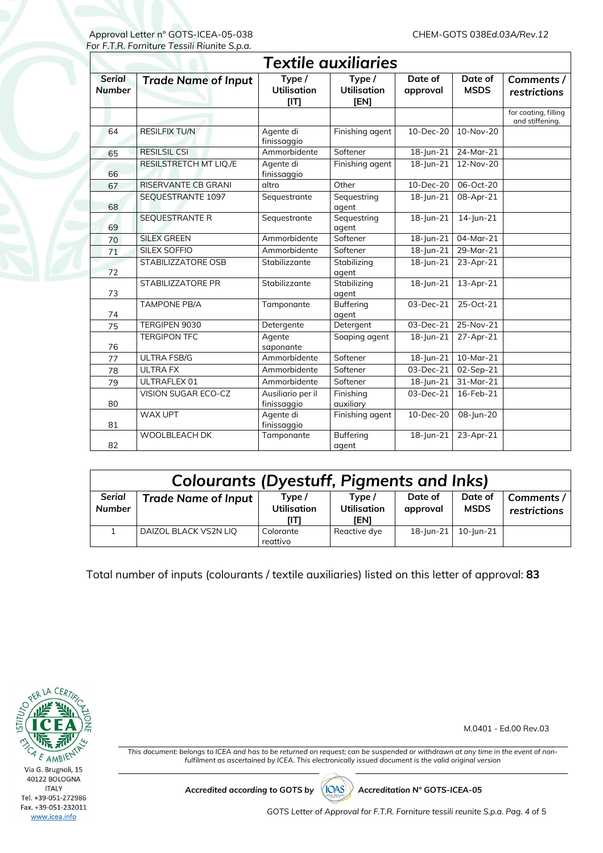| <b>Textile auxiliaries</b>     |                               |                                      |                                            |                         |                        |                                         |  |  |
|--------------------------------|-------------------------------|--------------------------------------|--------------------------------------------|-------------------------|------------------------|-----------------------------------------|--|--|
| <b>Serial</b><br><b>Number</b> | <b>Trade Name of Input</b>    | Type /<br><b>Utilisation</b><br>[IT] | Type/<br><b>Utilisation</b><br><b>IEN1</b> | Date of<br>approval     | Date of<br><b>MSDS</b> | Comments /<br>restrictions              |  |  |
|                                |                               |                                      |                                            |                         |                        | for coating, filling<br>and stiffening. |  |  |
| 64                             | <b>RESILFIX TU/N</b>          | Agente di<br>finissaggio             | Finishing agent                            | 10-Dec-20               | 10-Nov-20              |                                         |  |  |
| 65                             | <b>RESILSIL CSI</b>           | Ammorbidente                         | Softener                                   | 18-Jun-21               | 24-Mar-21              |                                         |  |  |
| 66                             | <b>RESILSTRETCH MT LIQ./E</b> | Agente di<br>finissaggio             | Finishing agent                            | 18-Jun-21               | 12-Nov-20              |                                         |  |  |
| 67                             | <b>RISERVANTE CB GRANI</b>    | altro                                | Other                                      | 10-Dec-20               | 06-Oct-20              |                                         |  |  |
| 68                             | SEQUESTRANTE 1097             | Sequestrante                         | Sequestring<br>agent                       | 18-Jun-21               | 08-Apr-21              |                                         |  |  |
| 69                             | <b>SEQUESTRANTE R</b>         | Sequestrante                         | Sequestring<br>agent                       | 18-Jun-21               | 14-Jun-21              |                                         |  |  |
| 70                             | <b>SILEX GREEN</b>            | Ammorbidente                         | Softener                                   | 18-Jun-21               | 04-Mar-21              |                                         |  |  |
| 71                             | SILEX SOFFIO                  | Ammorbidente                         | Softener                                   | 18-Jun-21               | $29$ -Mar-21           |                                         |  |  |
| 72                             | STABILIZZATORE OSB            | Stabilizzante                        | Stabilizing<br>agent                       | 18-Jun-21               | 23-Apr-21              |                                         |  |  |
| 73                             | <b>STABILIZZATORE PR</b>      | Stabilizzante                        | Stabilizing<br>agent                       | 18-Jun-21               | 13-Apr-21              |                                         |  |  |
| 74                             | <b>TAMPONE PB/A</b>           | Tamponante                           | <b>Buffering</b><br>agent                  | 03-Dec-21               | 25-Oct-21              |                                         |  |  |
| 75                             | TERGIPEN 9030                 | Detergente                           | Detergent                                  | 03-Dec-21               | 25-Nov-21              |                                         |  |  |
| 76                             | <b>TERGIPON TFC</b>           | Agente<br>saponante                  | Soaping agent                              | 18-Jun-21               | 27-Apr-21              |                                         |  |  |
| 77                             | <b>ULTRA FSB/G</b>            | Ammorbidente                         | Softener                                   | 18-Jun-21               | 10-Mar-21              |                                         |  |  |
| 78                             | <b>ULTRA FX</b>               | Ammorbidente                         | Softener                                   | 03-Dec-21               | 02-Sep-21              |                                         |  |  |
| 79                             | ULTRAFLEX 01                  | Ammorbidente                         | Softener                                   | $\overline{18}$ -Jun-21 | 31-Mar-21              |                                         |  |  |
| 80                             | VISION SUGAR ECO-CZ           | Ausiliario per il<br>finissaggio     | Finishing<br>auxiliary                     | 03-Dec-21               | 16-Feb-21              |                                         |  |  |
| 81                             | WAX UPT                       | Agente di<br>finissaggio             | Finishing agent                            | 10-Dec-20               | 08-Jun-20              |                                         |  |  |
| 82                             | <b>WOOLBLEACH DK</b>          | Tamponante                           | <b>Buffering</b><br>agent                  | 18-Jun-21               | 23-Apr-21              |                                         |  |  |

| <b>Colourants (Dyestuff, Pigments and Inks)</b> |                            |                                      |                                             |                     |                        |                            |  |
|-------------------------------------------------|----------------------------|--------------------------------------|---------------------------------------------|---------------------|------------------------|----------------------------|--|
| <b>Serial</b><br><b>Number</b>                  | <b>Trade Name of Input</b> | Type /<br><b>Utilisation</b><br>ſIТI | Type /<br><b>Utilisation</b><br><b>IEN1</b> | Date of<br>approval | Date of<br><b>MSDS</b> | Comments /<br>restrictions |  |
|                                                 | DAIZOL BLACK VS2N LIQ      | Colorante<br>reattivo                | Reactive dye                                | 18-Jun-21           | $10$ - Jun-21          |                            |  |

Total number of inputs (colourants / textile auxiliaries) listed on this letter of approval: **83**



M.0401 - Ed.00 Rev.03

*This document: belongs to ICEA and has to be returned on request; can be suspended or withdrawn at any time in the event of nonfulfilment as ascertained by ICEA. This electronically issued document is the valid original version* 

Accredited according to GOTS by (IOAS)) Accreditation N° GOTS-ICEA-05

*GOTS Letter of Approval for F.T.R. Forniture tessili reunite S.p.a. Pag. 4 of 5*